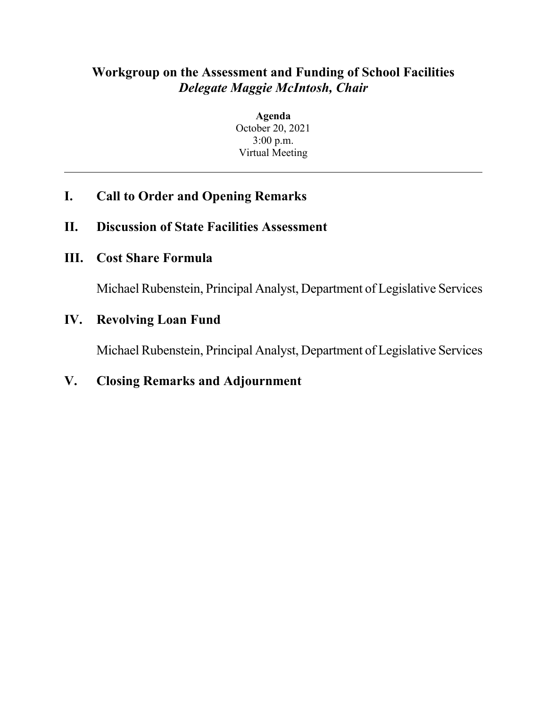#### **Workgroup on the Assessment and Funding of School Facilities** *Delegate Maggie McIntosh, Chair*

**Agenda** October 20, 2021 3:00 p.m. Virtual Meeting

#### **I. Call to Order and Opening Remarks**

#### **II. Discussion of State Facilities Assessment**

#### **III. Cost Share Formula**

Michael Rubenstein, Principal Analyst, Department of Legislative Services

#### **IV. Revolving Loan Fund**

Michael Rubenstein, Principal Analyst, Department of Legislative Services

#### **V. Closing Remarks and Adjournment**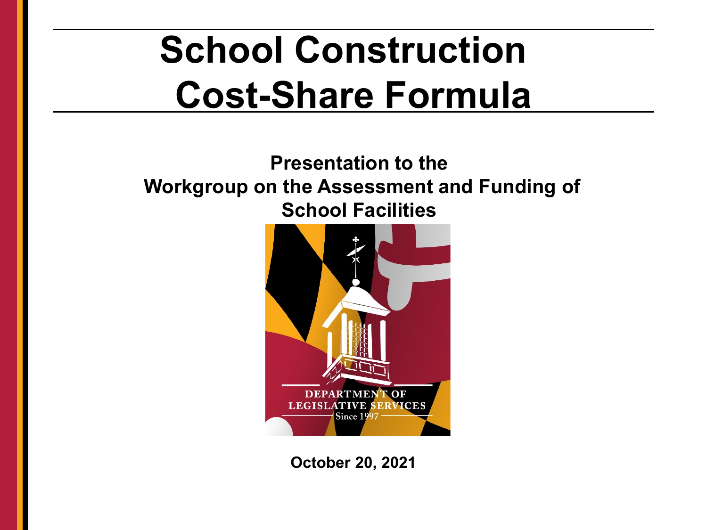### **School Construction Cost-Share Formula**

#### **Presentation to the Workgroup on the Assessment and Funding of School Facilities**



**October 20, 2021**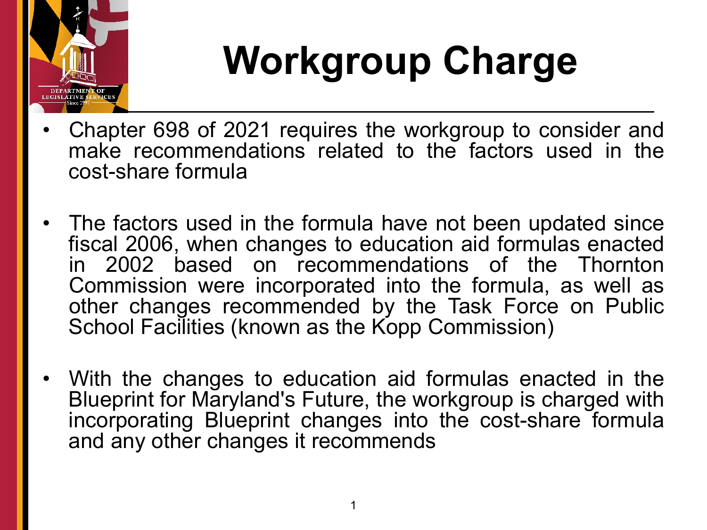

## **Workgroup Charge**

- Chapter 698 of 2021 requires the workgroup to consider and make recommendations related to the factors used in the cost-share formula
- The factors used in the formula have not been updated since fiscal 2006, when changes to education aid formulas enacted in 2002 based on recommendations of the Thornton Commission were incorporated into the formula, as well as other changes recommended by the Task Force on Public School Facilities (known as the Kopp Commission)
- With the changes to education aid formulas enacted in the Blueprint for Maryland's Future, the workgroup is charged with incorporating Blueprint changes into the cost-share formula and any other changes it recommends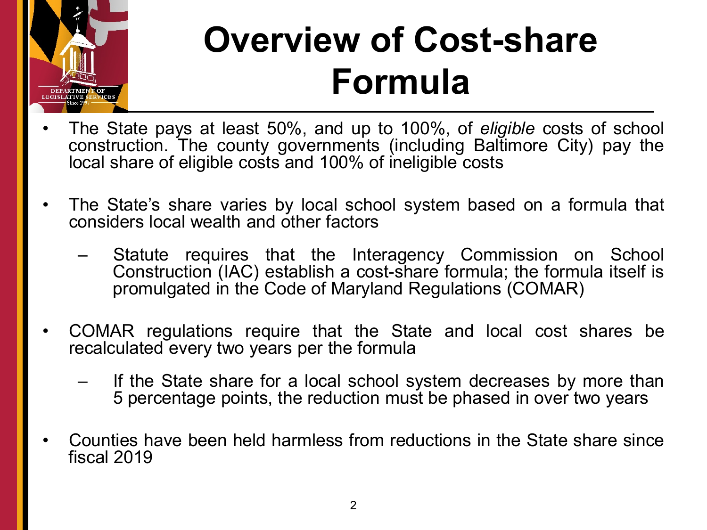

### **Overview of Cost-share Formula**

- The State pays at least 50%, and up to 100%, of *eligible* costs of school construction. The county governments (including Baltimore City) pay the local share of eligible costs and 100% of ineligible costs
- The State's share varies by local school system based on a formula that considers local wealth and other factors
	- Statute requires that the Interagency Commission on School Construction (IAC) establish a cost-share formula; the formula itself is promulgated in the Code of Maryland Regulations (COMAR)
- COMAR regulations require that the State and local cost shares be recalculated every two years per the formula
	- If the State share for a local school system decreases by more than 5 percentage points, the reduction must be phased in over two years
- Counties have been held harmless from reductions in the State share since fiscal 2019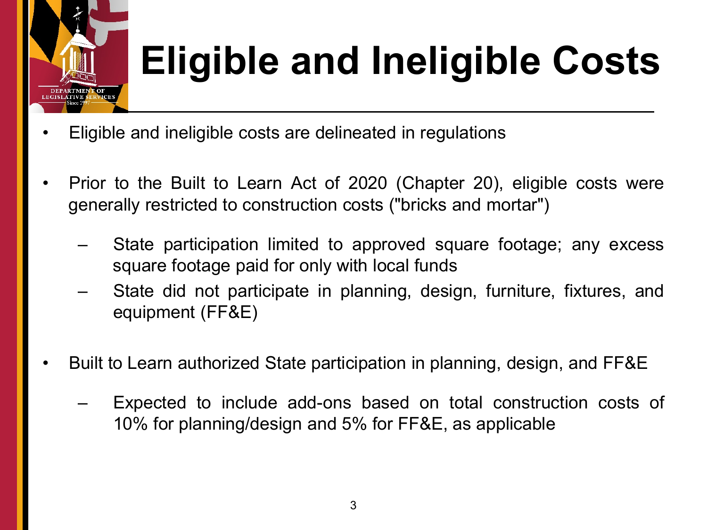

# **Eligible and Ineligible Costs**

- Eligible and ineligible costs are delineated in regulations
- Prior to the Built to Learn Act of 2020 (Chapter 20), eligible costs were generally restricted to construction costs ("bricks and mortar")
	- State participation limited to approved square footage; any excess square footage paid for only with local funds
	- State did not participate in planning, design, furniture, fixtures, and equipment (FF&E)
- Built to Learn authorized State participation in planning, design, and FF&E
	- Expected to include add-ons based on total construction costs of 10% for planning/design and 5% for FF&E, as applicable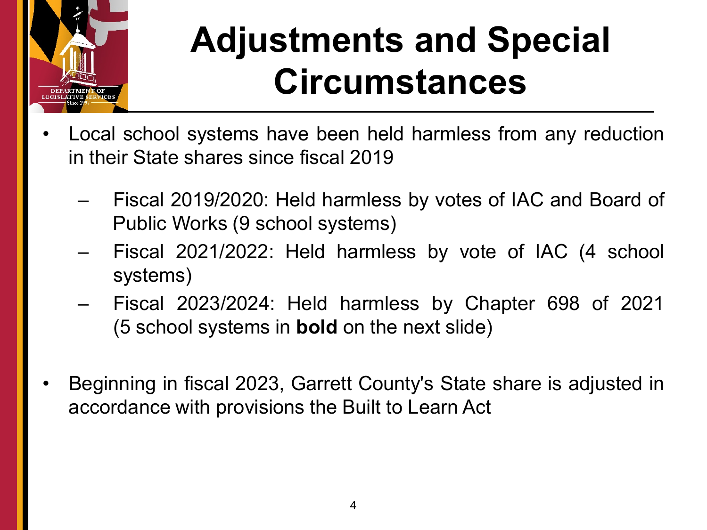

### **Adjustments and Special Circumstances**

- Local school systems have been held harmless from any reduction in their State shares since fiscal 2019
	- Fiscal 2019/2020: Held harmless by votes of IAC and Board of Public Works (9 school systems)
	- Fiscal 2021/2022: Held harmless by vote of IAC (4 school systems)
	- Fiscal 2023/2024: Held harmless by Chapter 698 of 2021 (5 school systems in **bold** on the next slide)
- Beginning in fiscal 2023, Garrett County's State share is adjusted in accordance with provisions the Built to Learn Act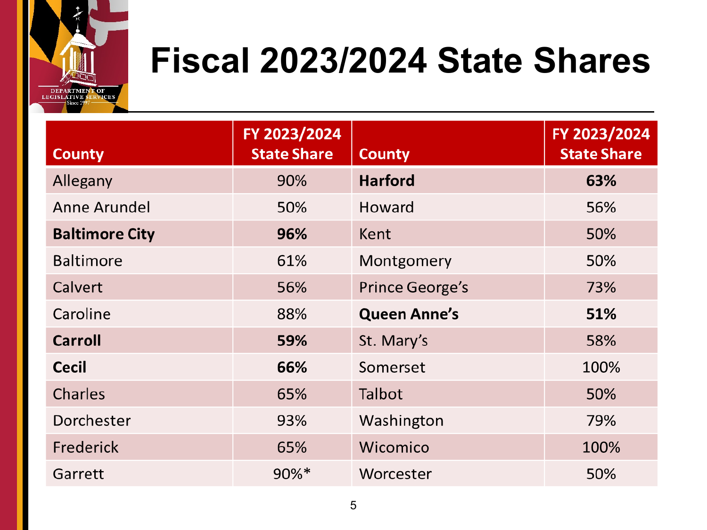

#### **Fiscal 2023/2024 State Shares**

| <b>County</b>         | FY 2023/2024<br><b>State Share</b> | <b>County</b>          | FY 2023/2024<br><b>State Share</b> |
|-----------------------|------------------------------------|------------------------|------------------------------------|
| Allegany              | 90%                                | <b>Harford</b>         | 63%                                |
| Anne Arundel          | 50%                                | Howard                 | 56%                                |
| <b>Baltimore City</b> | 96%                                | Kent                   | 50%                                |
| <b>Baltimore</b>      | 61%                                | Montgomery             | 50%                                |
| Calvert               | 56%                                | <b>Prince George's</b> | 73%                                |
| Caroline              | 88%                                | <b>Queen Anne's</b>    | 51%                                |
| <b>Carroll</b>        | 59%                                | St. Mary's             | 58%                                |
| <b>Cecil</b>          | 66%                                | Somerset               | 100%                               |
| <b>Charles</b>        | 65%                                | Talbot                 | 50%                                |
| Dorchester            | 93%                                | Washington             | 79%                                |
| Frederick             | 65%                                | Wicomico               | 100%                               |
| Garrett               | 90%*                               | Worcester              | 50%                                |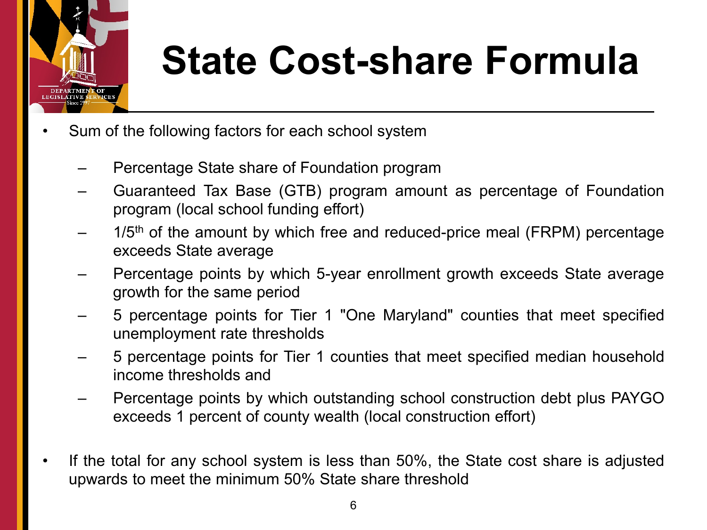

## **State Cost-share Formula**

- Sum of the following factors for each school system
	- Percentage State share of Foundation program
	- Guaranteed Tax Base (GTB) program amount as percentage of Foundation program (local school funding effort)
	- $1/5<sup>th</sup>$  of the amount by which free and reduced-price meal (FRPM) percentage exceeds State average
	- Percentage points by which 5-year enrollment growth exceeds State average growth for the same period
	- 5 percentage points for Tier 1 "One Maryland" counties that meet specified unemployment rate thresholds
	- 5 percentage points for Tier 1 counties that meet specified median household income thresholds and
	- Percentage points by which outstanding school construction debt plus PAYGO exceeds 1 percent of county wealth (local construction effort)
- If the total for any school system is less than 50%, the State cost share is adjusted upwards to meet the minimum 50% State share threshold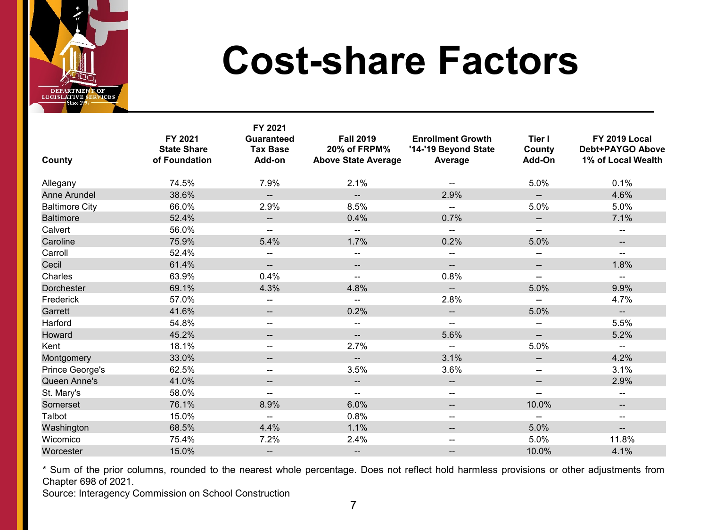

#### **Cost-share Factors**

|                       | FY 2021                             | FY 2021<br><b>Guaranteed</b> | <b>Fall 2019</b>                           | <b>Enrollment Growth</b>        | Tier I                   | FY 2019 Local                                 |
|-----------------------|-------------------------------------|------------------------------|--------------------------------------------|---------------------------------|--------------------------|-----------------------------------------------|
| County                | <b>State Share</b><br>of Foundation | <b>Tax Base</b><br>Add-on    | 20% of FRPM%<br><b>Above State Average</b> | '14-'19 Beyond State<br>Average | County<br>Add-On         | <b>Debt+PAYGO Above</b><br>1% of Local Wealth |
| Allegany              | 74.5%                               | 7.9%                         | 2.1%                                       | --                              | 5.0%                     | 0.1%                                          |
| <b>Anne Arundel</b>   | 38.6%                               | $\overline{\phantom{a}}$     | $- -$                                      | 2.9%                            | $\qquad \qquad -$        | 4.6%                                          |
| <b>Baltimore City</b> | 66.0%                               | 2.9%                         | 8.5%                                       |                                 | 5.0%                     | 5.0%                                          |
| <b>Baltimore</b>      | 52.4%                               | $\overline{\phantom{a}}$     | 0.4%                                       | 0.7%                            | $\overline{\phantom{a}}$ | 7.1%                                          |
| Calvert               | 56.0%                               | $\overline{\phantom{a}}$     | $\overline{\phantom{a}}$                   | $\qquad \qquad \qquad -$        | $\qquad \qquad -$        | $\overline{\phantom{a}}$                      |
| Caroline              | 75.9%                               | 5.4%                         | 1.7%                                       | 0.2%                            | 5.0%                     | --                                            |
| Carroll               | 52.4%                               | $\overline{\phantom{a}}$     | $\overline{\phantom{a}}$                   | $\overline{\phantom{a}}$        | $\qquad \qquad -$        | $\overline{\phantom{a}}$                      |
| Cecil                 | 61.4%                               | $\overline{\phantom{a}}$     | $\overline{\phantom{a}}$                   | $\qquad \qquad -$               | $\overline{\phantom{a}}$ | 1.8%                                          |
| Charles               | 63.9%                               | 0.4%                         | $- -$                                      | 0.8%                            | $\overline{a}$           | $\overline{a}$                                |
| <b>Dorchester</b>     | 69.1%                               | 4.3%                         | 4.8%                                       | --                              | 5.0%                     | 9.9%                                          |
| Frederick             | 57.0%                               | $\overline{a}$               | $\overline{\phantom{0}}$                   | 2.8%                            | $\overline{a}$           | 4.7%                                          |
| Garrett               | 41.6%                               | $\qquad \qquad -$            | 0.2%                                       | $-$                             | 5.0%                     | $\overline{\phantom{a}}$                      |
| Harford               | 54.8%                               | $\qquad \qquad \qquad -$     | $\hspace{0.05cm}-\hspace{0.05cm}$          |                                 | --                       | 5.5%                                          |
| Howard                | 45.2%                               | $\overline{\phantom{a}}$     | $\overline{a}$                             | 5.6%                            | $\overline{\phantom{a}}$ | 5.2%                                          |
| Kent                  | 18.1%                               | $\overline{\phantom{a}}$     | 2.7%                                       | $\overline{\phantom{a}}$        | 5.0%                     | $\hspace{0.05cm}-\hspace{0.05cm}$             |
| Montgomery            | 33.0%                               | $- -$                        | $- -$                                      | 3.1%                            | $\qquad \qquad -$        | 4.2%                                          |
| Prince George's       | 62.5%                               | $\overline{\phantom{a}}$     | 3.5%                                       | 3.6%                            | $\overline{\phantom{m}}$ | 3.1%                                          |
| Queen Anne's          | 41.0%                               | $\overline{\phantom{a}}$     | $\overline{\phantom{a}}$                   | $\overline{\phantom{a}}$        | $\overline{\phantom{a}}$ | 2.9%                                          |
| St. Mary's            | 58.0%                               | $\overline{\phantom{a}}$     | $\qquad \qquad -$                          | $\qquad \qquad \qquad -$        | $\qquad \qquad -$        | --                                            |
| Somerset              | 76.1%                               | 8.9%                         | 6.0%                                       | $\qquad \qquad -$               | 10.0%                    | --                                            |
| Talbot                | 15.0%                               | $\overline{a}$               | 0.8%                                       | $- -$                           | u.                       | --                                            |
| Washington            | 68.5%                               | 4.4%                         | 1.1%                                       | --                              | 5.0%                     | --                                            |
| Wicomico              | 75.4%                               | 7.2%                         | 2.4%                                       | $\qquad \qquad -$               | 5.0%                     | 11.8%                                         |
| Worcester             | 15.0%                               | $-$                          | $\qquad \qquad -$                          | --                              | 10.0%                    | 4.1%                                          |

\* Sum of the prior columns, rounded to the nearest whole percentage. Does not reflect hold harmless provisions or other adjustments from Chapter 698 of 2021.

Source: Interagency Commission on School Construction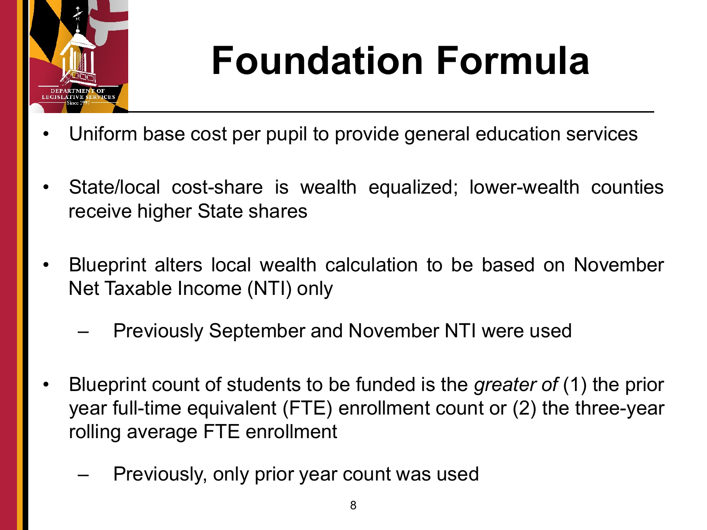

## **Foundation Formula**

- Uniform base cost per pupil to provide general education services
- State/local cost-share is wealth equalized; lower-wealth counties receive higher State shares
- Blueprint alters local wealth calculation to be based on November Net Taxable Income (NTI) only
	- Previously September and November NTI were used
- Blueprint count of students to be funded is the *greater of* (1) the prior year full-time equivalent (FTE) enrollment count or (2) the three-year rolling average FTE enrollment
	- Previously, only prior year count was used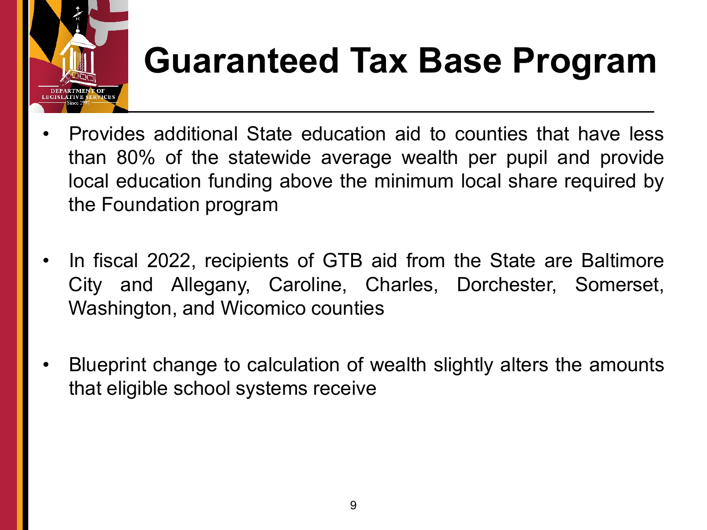

#### **Guaranteed Tax Base Program**

- Provides additional State education aid to counties that have less than 80% of the statewide average wealth per pupil and provide local education funding above the minimum local share required by the Foundation program
- In fiscal 2022, recipients of GTB aid from the State are Baltimore City and Allegany, Caroline, Charles, Dorchester, Somerset, Washington, and Wicomico counties
- Blueprint change to calculation of wealth slightly alters the amounts that eligible school systems receive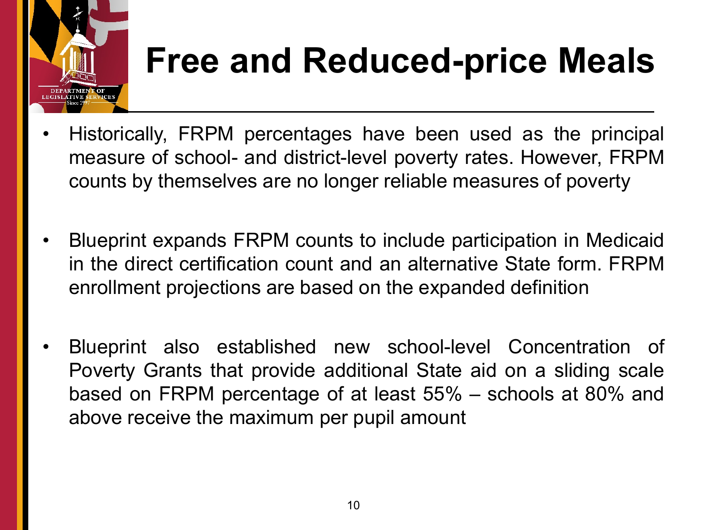

### **Free and Reduced-price Meals**

- Historically, FRPM percentages have been used as the principal measure of school- and district-level poverty rates. However, FRPM counts by themselves are no longer reliable measures of poverty
- Blueprint expands FRPM counts to include participation in Medicaid in the direct certification count and an alternative State form. FRPM enrollment projections are based on the expanded definition
- Blueprint also established new school-level Concentration of Poverty Grants that provide additional State aid on a sliding scale based on FRPM percentage of at least 55% – schools at 80% and above receive the maximum per pupil amount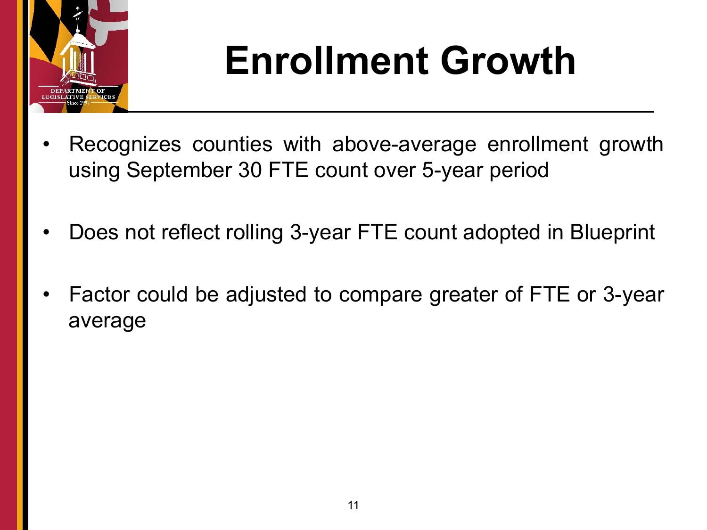

## **Enrollment Growth**

- Recognizes counties with above-average enrollment growth using September 30 FTE count over 5-year period
- Does not reflect rolling 3-year FTE count adopted in Blueprint
- Factor could be adjusted to compare greater of FTE or 3-year average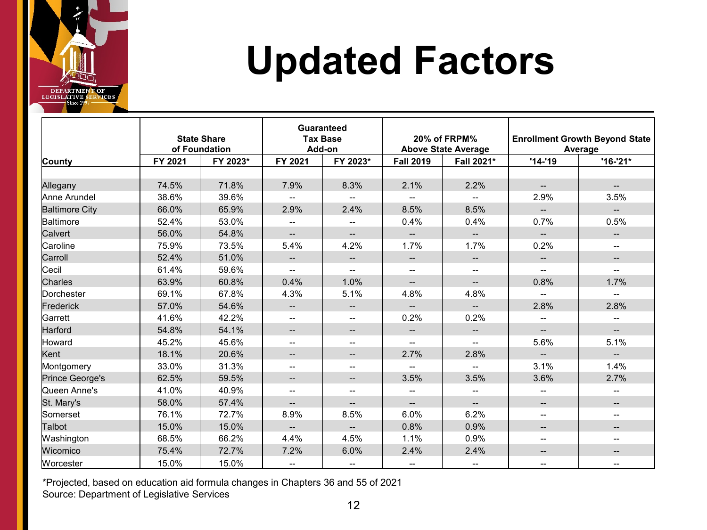

### **Updated Factors**

|                       |         | <b>State Share</b><br>of Foundation |                                   | <b>Guaranteed</b><br><b>Tax Base</b><br>Add-on |                                     | 20% of FRPM%<br><b>Above State Average</b> |                          | <b>Enrollment Growth Beyond State</b><br>Average |  |
|-----------------------|---------|-------------------------------------|-----------------------------------|------------------------------------------------|-------------------------------------|--------------------------------------------|--------------------------|--------------------------------------------------|--|
| <b>County</b>         | FY 2021 | FY 2023*                            | FY 2021                           | FY 2023*                                       | <b>Fall 2019</b>                    | Fall 2021*                                 | $'14-'19$                | $'16-'21*$                                       |  |
|                       |         |                                     |                                   |                                                |                                     |                                            |                          |                                                  |  |
| Allegany              | 74.5%   | 71.8%                               | 7.9%                              | 8.3%                                           | 2.1%                                | 2.2%                                       | $\overline{\phantom{a}}$ | $\overline{\phantom{0}}$                         |  |
| Anne Arundel          | 38.6%   | 39.6%                               |                                   |                                                |                                     |                                            | 2.9%                     | 3.5%                                             |  |
| <b>Baltimore City</b> | 66.0%   | 65.9%                               | 2.9%                              | 2.4%                                           | 8.5%                                | 8.5%                                       | $\overline{a}$           | $\overline{\phantom{a}}$                         |  |
| Baltimore             | 52.4%   | 53.0%                               | $\overline{\phantom{a}}$          |                                                | 0.4%                                | 0.4%                                       | 0.7%                     | 0.5%                                             |  |
| Calvert               | 56.0%   | 54.8%                               | $\qquad \qquad -$                 |                                                |                                     | $- -$                                      |                          | $\overline{\phantom{a}}$                         |  |
| Caroline              | 75.9%   | 73.5%                               | 5.4%                              | 4.2%                                           | 1.7%                                | 1.7%                                       | 0.2%                     |                                                  |  |
| Carroll               | 52.4%   | 51.0%                               | $\qquad \qquad -$                 |                                                | $\hspace{0.05cm}$ $\hspace{0.05cm}$ | $\overline{\phantom{a}}$                   |                          | --                                               |  |
| Cecil                 | 61.4%   | 59.6%                               | $\qquad \qquad -$                 |                                                | $\overline{\phantom{a}}$            | $-$                                        |                          | $\qquad \qquad -$                                |  |
| Charles               | 63.9%   | 60.8%                               | 0.4%                              | 1.0%                                           | $\overline{\phantom{a}}$            | $\overline{\phantom{a}}$                   | 0.8%                     | 1.7%                                             |  |
| Dorchester            | 69.1%   | 67.8%                               | 4.3%                              | 5.1%                                           | 4.8%                                | 4.8%                                       | $-$                      | $\overline{\phantom{0}}$                         |  |
| Frederick             | 57.0%   | 54.6%                               | $\hspace{0.05cm} \ldots$          | $\overline{\phantom{a}}$                       | $\overline{\phantom{a}}$            | $- -$                                      | 2.8%                     | 2.8%                                             |  |
| Garrett               | 41.6%   | 42.2%                               | $\overline{\phantom{a}}$          | $- -$                                          | 0.2%                                | 0.2%                                       |                          |                                                  |  |
| Harford               | 54.8%   | 54.1%                               | $\overline{\phantom{a}}$          | $\overline{\phantom{a}}$                       | $\overline{\phantom{a}}$            | $\overline{\phantom{a}}$                   | $\overline{\phantom{a}}$ | $\overline{\phantom{a}}$                         |  |
| Howard                | 45.2%   | 45.6%                               | $\hspace{0.05cm}-\hspace{0.05cm}$ | --                                             | $\overline{\phantom{a}}$            | $\overline{\phantom{0}}$                   | 5.6%                     | 5.1%                                             |  |
| Kent                  | 18.1%   | 20.6%                               | $\overline{\phantom{a}}$          | --                                             | 2.7%                                | 2.8%                                       | $\overline{\phantom{a}}$ | $\overline{\phantom{a}}$                         |  |
| Montgomery            | 33.0%   | 31.3%                               | $-$                               | --                                             |                                     |                                            | 3.1%                     | 1.4%                                             |  |
| Prince George's       | 62.5%   | 59.5%                               | $\overline{\phantom{a}}$          | $\overline{\phantom{a}}$                       | 3.5%                                | 3.5%                                       | 3.6%                     | 2.7%                                             |  |
| Queen Anne's          | 41.0%   | 40.9%                               | $\overline{\phantom{m}}$          | $-$                                            | $\overline{\phantom{a}}$            | $\qquad \qquad -$                          | $\overline{\phantom{m}}$ | $\overline{\phantom{a}}$                         |  |
| St. Mary's            | 58.0%   | 57.4%                               | $\qquad \qquad -$                 | --                                             | $\qquad \qquad -$                   | $-$                                        | $-$                      |                                                  |  |
| Somerset              | 76.1%   | 72.7%                               | 8.9%                              | 8.5%                                           | 6.0%                                | 6.2%                                       | $\overline{\phantom{a}}$ | --                                               |  |
| Talbot                | 15.0%   | 15.0%                               | $\qquad \qquad -$                 | $\overline{a}$                                 | 0.8%                                | 0.9%                                       | $-$                      | $\overline{\phantom{a}}$                         |  |
| Washington            | 68.5%   | 66.2%                               | 4.4%                              | 4.5%                                           | 1.1%                                | 0.9%                                       | $\overline{\phantom{a}}$ | $\overline{\phantom{a}}$                         |  |
| Wicomico              | 75.4%   | 72.7%                               | 7.2%                              | 6.0%                                           | 2.4%                                | 2.4%                                       | --                       |                                                  |  |
| Worcester             | 15.0%   | 15.0%                               | $\overline{\phantom{a}}$          | $\qquad \qquad -$                              | $\overline{\phantom{a}}$            | $\overline{\phantom{a}}$                   | $-$                      |                                                  |  |

\*Projected, based on education aid formula changes in Chapters 36 and 55 of 2021 Source: Department of Legislative Services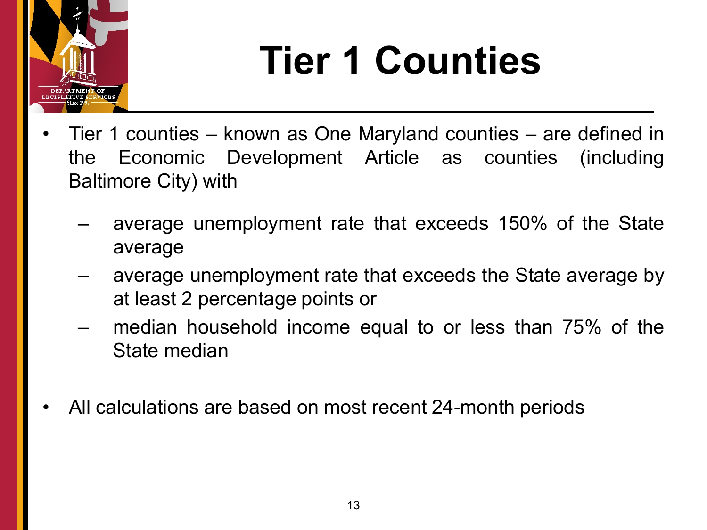

## **Tier 1 Counties**

- Tier 1 counties known as One Maryland counties are defined in the Economic Development Article as counties (including Baltimore City) with
	- average unemployment rate that exceeds 150% of the State average
	- average unemployment rate that exceeds the State average by at least 2 percentage points or
	- median household income equal to or less than 75% of the State median
- All calculations are based on most recent 24-month periods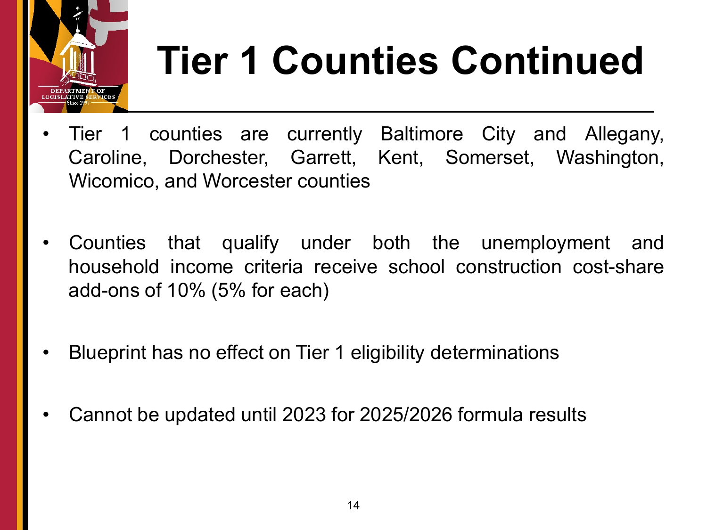

# **Tier 1 Counties Continued**

- Tier 1 counties are currently Baltimore City and Allegany, Caroline, Dorchester, Garrett, Kent, Somerset, Washington, Wicomico, and Worcester counties
- Counties that qualify under both the unemployment and household income criteria receive school construction cost-share add-ons of 10% (5% for each)
- Blueprint has no effect on Tier 1 eligibility determinations
- Cannot be updated until 2023 for 2025/2026 formula results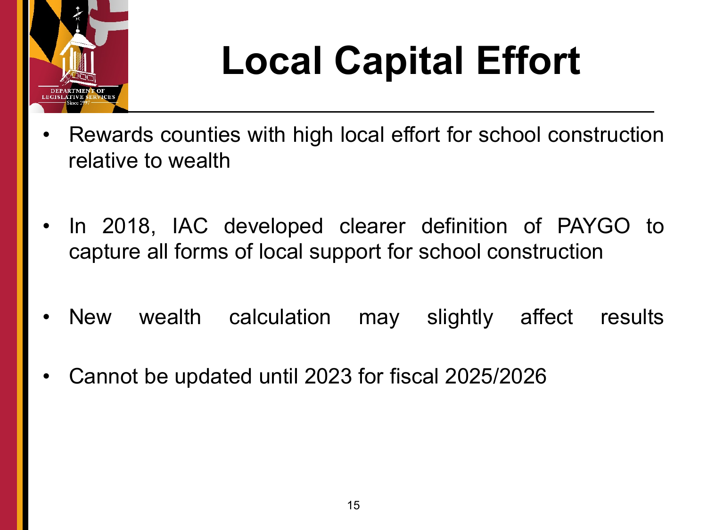

## **Local Capital Effort**

- Rewards counties with high local effort for school construction relative to wealth
- In 2018, IAC developed clearer definition of PAYGO to capture all forms of local support for school construction
- New wealth calculation may slightly affect results
- Cannot be updated until 2023 for fiscal 2025/2026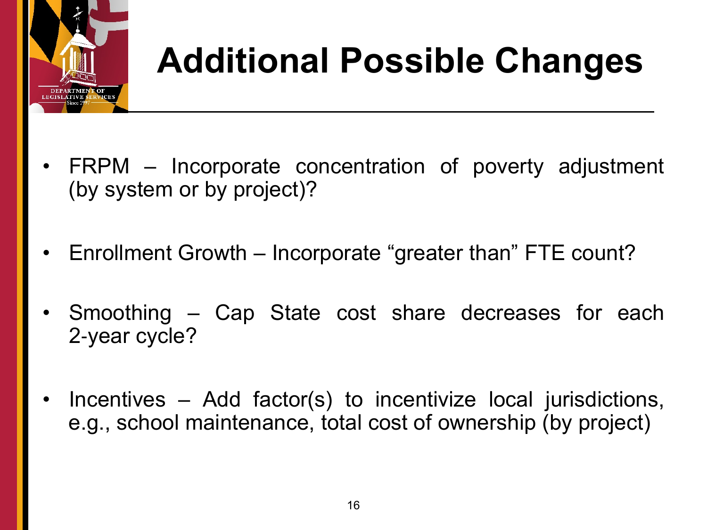

### **Additional Possible Changes**

- FRPM Incorporate concentration of poverty adjustment (by system or by project)?
- Enrollment Growth Incorporate "greater than" FTE count?
- Smoothing Cap State cost share decreases for each 2‐year cycle?
- Incentives Add factor(s) to incentivize local jurisdictions, e.g., school maintenance, total cost of ownership (by project)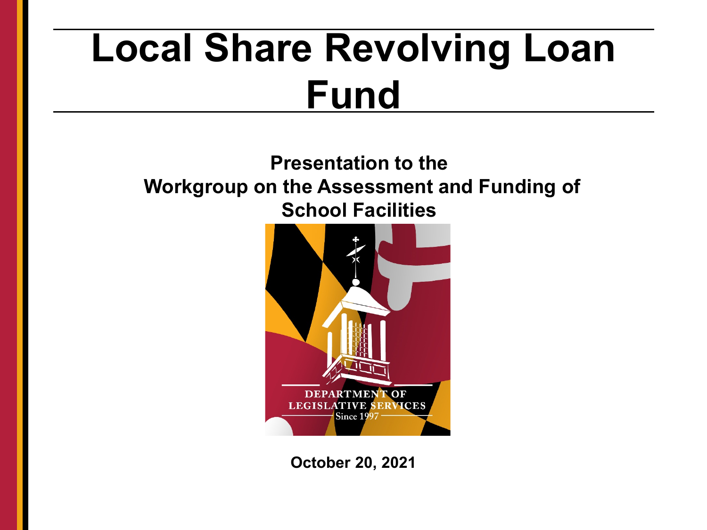## **Local Share Revolving Loan Fund**

#### **Presentation to the Workgroup on the Assessment and Funding of School Facilities**



**October 20, 2021**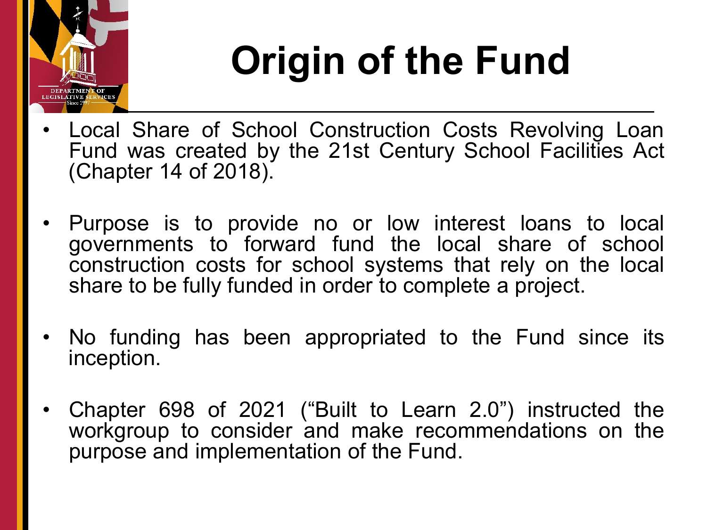

# **Origin of the Fund**

- Local Share of School Construction Costs Revolving Loan Fund was created by the 21st Century School Facilities Act (Chapter 14 of 2018).
- Purpose is to provide no or low interest loans to local governments to forward fund the local share of school construction costs for school systems that rely on the local share to be fully funded in order to complete a project.
- No funding has been appropriated to the Fund since its inception.
- Chapter 698 of 2021 ("Built to Learn 2.0") instructed the workgroup to consider and make recommendations on the purpose and implementation of the Fund.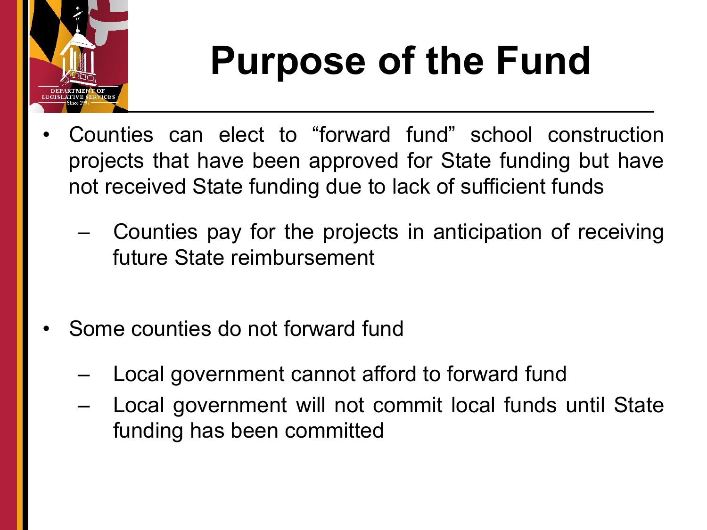

## **Purpose of the Fund**

- Counties can elect to "forward fund" school construction projects that have been approved for State funding but have not received State funding due to lack of sufficient funds
	- Counties pay for the projects in anticipation of receiving future State reimbursement
- Some counties do not forward fund
	- Local government cannot afford to forward fund
	- Local government will not commit local funds until State funding has been committed